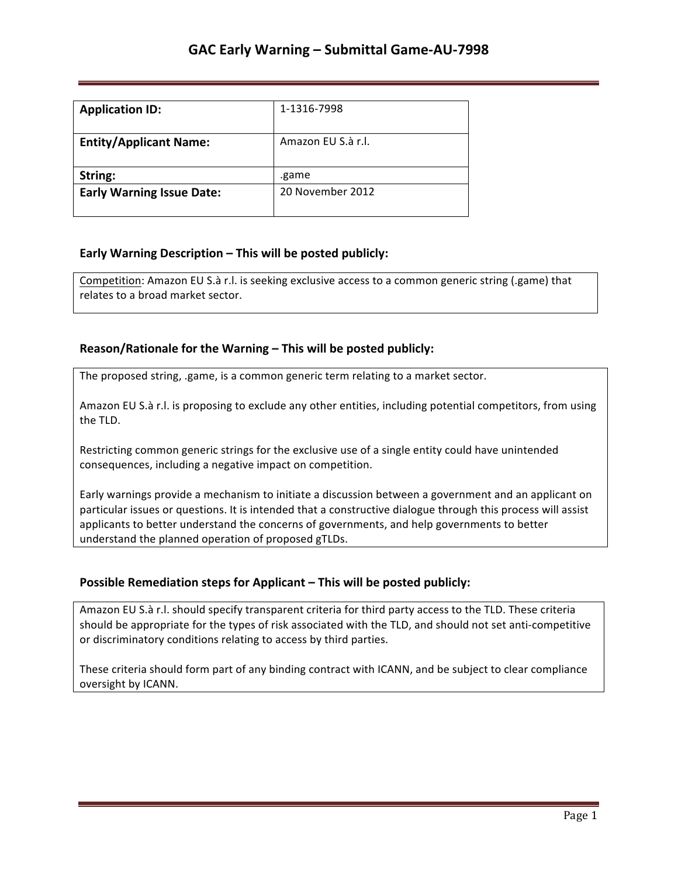| <b>Application ID:</b>           | 1-1316-7998        |
|----------------------------------|--------------------|
| <b>Entity/Applicant Name:</b>    | Amazon EU S.à r.l. |
| String:                          | .game              |
| <b>Early Warning Issue Date:</b> | 20 November 2012   |

## **Early Warning Description – This will be posted publicly:**

Competition: Amazon EU S.à r.l. is seeking exclusive access to a common generic string (.game) that relates to a broad market sector.

## **Reason/Rationale for the Warning – This will be posted publicly:**

The proposed string, .game, is a common generic term relating to a market sector.

Amazon EU S.à r.l. is proposing to exclude any other entities, including potential competitors, from using the TLD.

Restricting common generic strings for the exclusive use of a single entity could have unintended consequences, including a negative impact on competition.

Early warnings provide a mechanism to initiate a discussion between a government and an applicant on particular issues or questions. It is intended that a constructive dialogue through this process will assist applicants to better understand the concerns of governments, and help governments to better understand the planned operation of proposed gTLDs.

## **Possible Remediation steps for Applicant – This will be posted publicly:**

Amazon EU S.à r.l. should specify transparent criteria for third party access to the TLD. These criteria should be appropriate for the types of risk associated with the TLD, and should not set anti-competitive or discriminatory conditions relating to access by third parties.

These criteria should form part of any binding contract with ICANN, and be subject to clear compliance oversight by ICANN.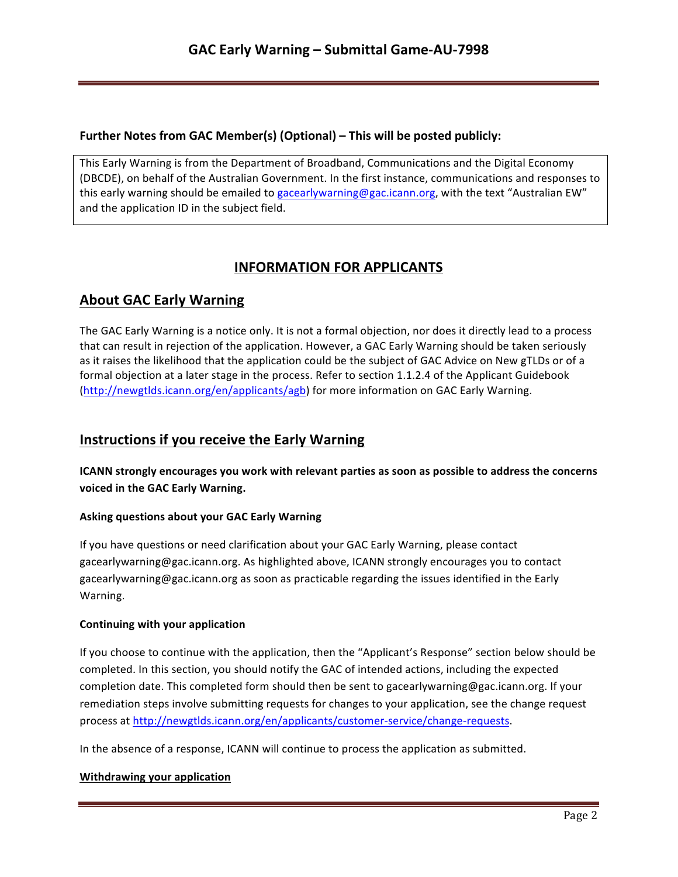### **Further Notes from GAC Member(s) (Optional) – This will be posted publicly:**

This Early Warning is from the Department of Broadband, Communications and the Digital Economy (DBCDE), on behalf of the Australian Government. In the first instance, communications and responses to this early warning should be emailed to gacearlywarning@gac.icann.org, with the text "Australian EW" and the application ID in the subject field.

# **INFORMATION FOR APPLICANTS**

## **About GAC Early Warning**

The GAC Early Warning is a notice only. It is not a formal objection, nor does it directly lead to a process that can result in rejection of the application. However, a GAC Early Warning should be taken seriously as it raises the likelihood that the application could be the subject of GAC Advice on New gTLDs or of a formal objection at a later stage in the process. Refer to section 1.1.2.4 of the Applicant Guidebook (http://newgtlds.icann.org/en/applicants/agb) for more information on GAC Early Warning.

## **Instructions if you receive the Early Warning**

**ICANN** strongly encourages you work with relevant parties as soon as possible to address the concerns voiced in the GAC Early Warning.

### **Asking questions about your GAC Early Warning**

If you have questions or need clarification about your GAC Early Warning, please contact gacearlywarning@gac.icann.org. As highlighted above, ICANN strongly encourages you to contact gacearlywarning@gac.icann.org as soon as practicable regarding the issues identified in the Early Warning. 

### **Continuing with your application**

If you choose to continue with the application, then the "Applicant's Response" section below should be completed. In this section, you should notify the GAC of intended actions, including the expected completion date. This completed form should then be sent to gacearlywarning@gac.icann.org. If your remediation steps involve submitting requests for changes to your application, see the change request process at http://newgtlds.icann.org/en/applicants/customer-service/change-requests.

In the absence of a response, ICANN will continue to process the application as submitted.

### **Withdrawing your application**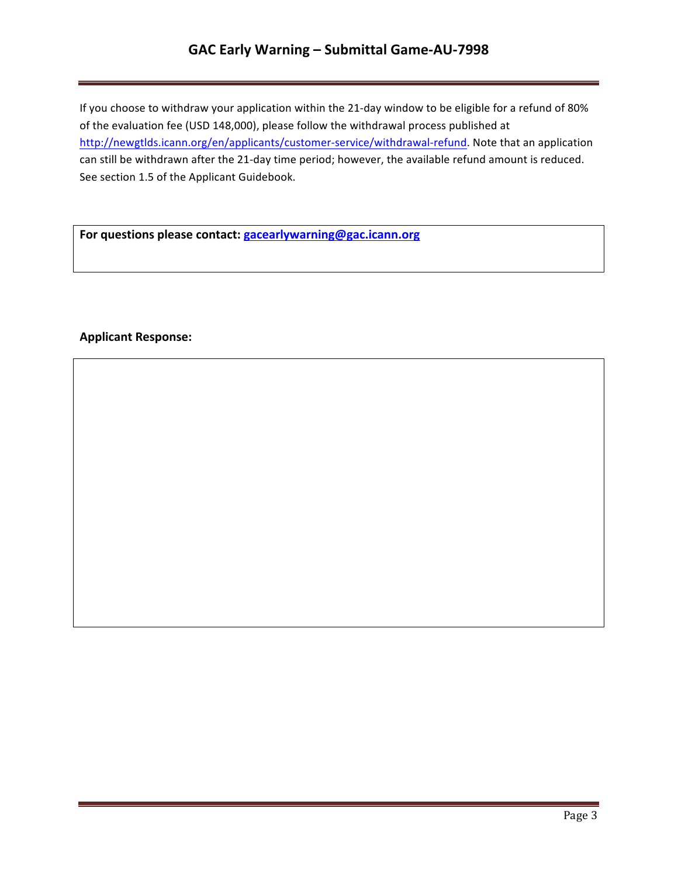# **GAC Early Warning – Submittal Game-AU-7998**

If you choose to withdraw your application within the 21-day window to be eligible for a refund of 80% of the evaluation fee (USD 148,000), please follow the withdrawal process published at http://newgtlds.icann.org/en/applicants/customer-service/withdrawal-refund. Note that an application can still be withdrawn after the 21-day time period; however, the available refund amount is reduced. See section 1.5 of the Applicant Guidebook.

For questions please contact: **gacearlywarning@gac.icann.org** 

### **Applicant Response:**